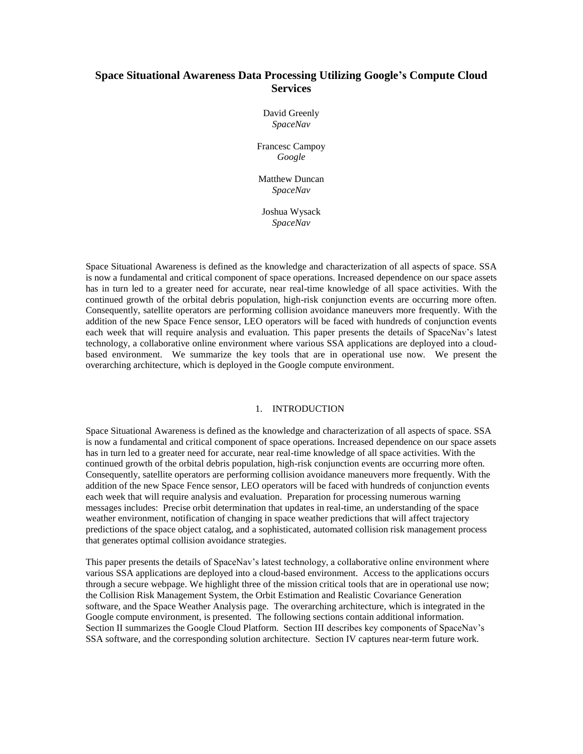# **Space Situational Awareness Data Processing Utilizing Google's Compute Cloud Services**

David Greenly *SpaceNav*

Francesc Campoy *Google*

Matthew Duncan *SpaceNav*

Joshua Wysack *SpaceNav*

Space Situational Awareness is defined as the knowledge and characterization of all aspects of space. SSA is now a fundamental and critical component of space operations. Increased dependence on our space assets has in turn led to a greater need for accurate, near real-time knowledge of all space activities. With the continued growth of the orbital debris population, high-risk conjunction events are occurring more often. Consequently, satellite operators are performing collision avoidance maneuvers more frequently. With the addition of the new Space Fence sensor, LEO operators will be faced with hundreds of conjunction events each week that will require analysis and evaluation. This paper presents the details of SpaceNav's latest technology, a collaborative online environment where various SSA applications are deployed into a cloudbased environment. We summarize the key tools that are in operational use now. We present the overarching architecture, which is deployed in the Google compute environment.

#### 1. INTRODUCTION

Space Situational Awareness is defined as the knowledge and characterization of all aspects of space. SSA is now a fundamental and critical component of space operations. Increased dependence on our space assets has in turn led to a greater need for accurate, near real-time knowledge of all space activities. With the continued growth of the orbital debris population, high-risk conjunction events are occurring more often. Consequently, satellite operators are performing collision avoidance maneuvers more frequently. With the addition of the new Space Fence sensor, LEO operators will be faced with hundreds of conjunction events each week that will require analysis and evaluation. Preparation for processing numerous warning messages includes: Precise orbit determination that updates in real-time, an understanding of the space weather environment, notification of changing in space weather predictions that will affect trajectory predictions of the space object catalog, and a sophisticated, automated collision risk management process that generates optimal collision avoidance strategies.

This paper presents the details of SpaceNav's latest technology, a collaborative online environment where various SSA applications are deployed into a cloud-based environment. Access to the applications occurs through a secure webpage. We highlight three of the mission critical tools that are in operational use now; the Collision Risk Management System, the Orbit Estimation and Realistic Covariance Generation software, and the Space Weather Analysis page. The overarching architecture, which is integrated in the Google compute environment, is presented. The following sections contain additional information. Section II summarizes the Google Cloud Platform. Section III describes key components of SpaceNav's SSA software, and the corresponding solution architecture. Section IV captures near-term future work.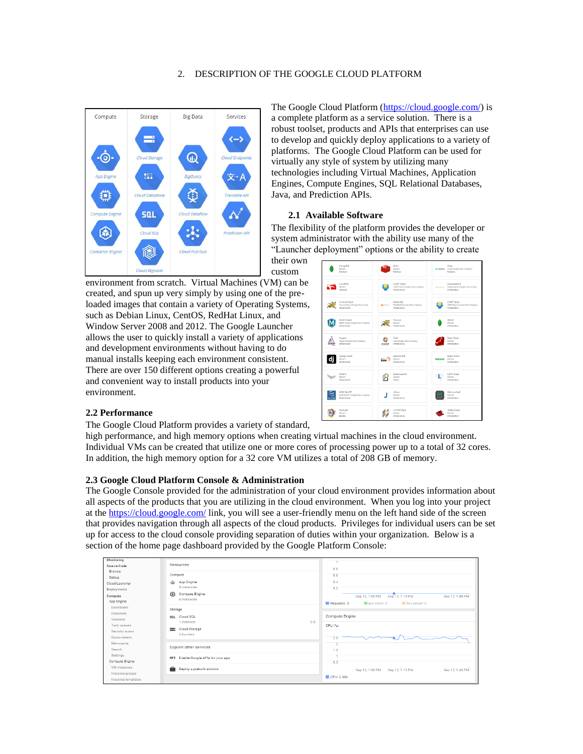# 2. DESCRIPTION OF THE GOOGLE CLOUD PLATFORM



The Google Cloud Platform [\(https://cloud.google.com/\)](https://cloud.google.com/) is a complete platform as a service solution. There is a robust toolset, products and APIs that enterprises can use to develop and quickly deploy applications to a variety of platforms. The Google Cloud Platform can be used for virtually any style of system by utilizing many technologies including Virtual Machines, Application Engines, Compute Engines, SQL Relational Databases, Java, and Prediction APIs.

#### **2.1 Available Software**

The flexibility of the platform provides the developer or system administrator with the ability use many of the "Launcher deployment" options or the ability to create

their own custom

environment from scratch. Virtual Machines (VM) can be created, and spun up very simply by using one of the preloaded images that contain a variety of Operating Systems, such as Debian Linux, CentOS, RedHat Linux, and Window Server 2008 and 2012. The Google Launcher allows the user to quickly install a variety of applications and development environments without having to do manual installs keeping each environment consistent. There are over 150 different options creating a powerful and convenient way to install products into your environment.

#### **2.2 Performance**

The Google Cloud Platform provides a variety of standard,

high performance, and high memory options when creating virtual machines in the cloud environment. Individual VMs can be created that utilize one or more cores of processing power up to a total of 32 cores. In addition, the high memory option for a 32 core VM utilizes a total of 208 GB of memory.

#### **2.3 Google Cloud Platform Console & Administration**

The Google Console provided for the administration of your cloud environment provides information about all aspects of the products that you are utilizing in the cloud environment. When you log into your project at the<https://cloud.google.com/> link, you will see a user-friendly menu on the left hand side of the screen that provides navigation through all aspects of the cloud products. Privileges for individual users can be set up for access to the cloud console providing separation of duties within your organization. Below is a section of the home page dashboard provided by the Google Platform Console:

| Monitoring<br><b>Source Code</b><br><b>Rrowse</b><br>Debug<br>Cloud Launcher<br>Deployments<br>Compute<br>App Engine<br>Dashboard<br>Instances<br>Versions<br><b>Task queues</b><br>Security scans<br>Quota details<br>Memcache<br>Search<br>Settings<br><b>Compute Engine</b><br><b>VM</b> instances | <b>Resources</b><br>Compute<br>-@. App Engine<br>0 instances<br><b>Compute Engine</b><br>靠<br>4 instances<br>Storage | 0.8<br>0.6<br>0A<br>0.2<br>Sep 12, 1:15 PM<br>Sep 12, 1:46 PM<br>Sep 12, 1:00 PM<br>Requests: 0<br>4xx client: 0<br>5xx server: 0 |  |  |
|-------------------------------------------------------------------------------------------------------------------------------------------------------------------------------------------------------------------------------------------------------------------------------------------------------|----------------------------------------------------------------------------------------------------------------------|-----------------------------------------------------------------------------------------------------------------------------------|--|--|
|                                                                                                                                                                                                                                                                                                       | SBL Cloud SOL<br>0 <sub>R</sub><br>1 instance<br>Cloud Storage<br>4 buckets                                          | <b>Compute Engine</b><br>CPU(%)<br>2.5                                                                                            |  |  |
|                                                                                                                                                                                                                                                                                                       | Explore other services<br><b>RPI</b> Enable Google APIs for your app<br>Deploy a prebuilt solution                   | 1.5<br>0.5<br>Sep 12, 1:15 PM<br>Sep 12, 1:46 PM<br>Sep 12, 1:00 PM                                                               |  |  |
| Instance groups<br>Instance templates                                                                                                                                                                                                                                                                 |                                                                                                                      | CPU: 2.386                                                                                                                        |  |  |

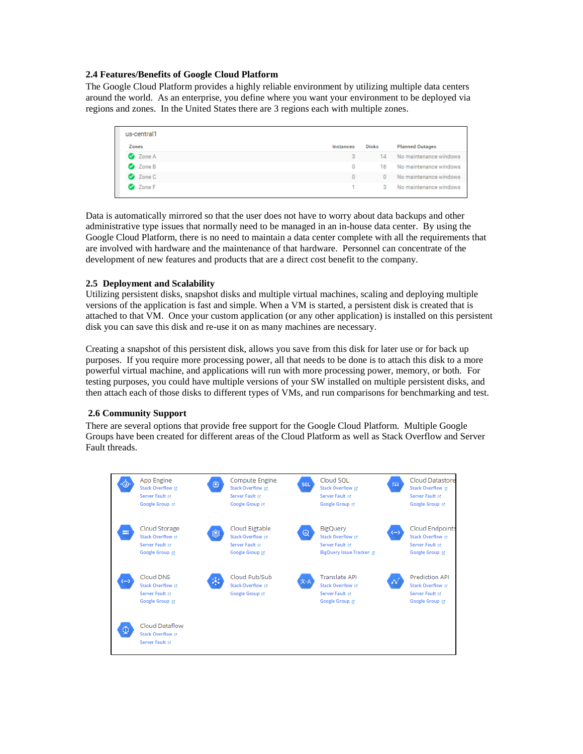# **2.4 Features/Benefits of Google Cloud Platform**

The Google Cloud Platform provides a highly reliable environment by utilizing multiple data centers around the world. As an enterprise, you define where you want your environment to be deployed via regions and zones. In the United States there are 3 regions each with multiple zones.

| us-central1 |           |              |                        |
|-------------|-----------|--------------|------------------------|
| Zones       | Instances | <b>Disks</b> | <b>Planned Outages</b> |
| Zone A      | 3         | 14           | No maintenance windows |
| Zone B      | 0         | 16           | No maintenance windows |
| 2 Zone C    | 0         | $\Omega$     | No maintenance windows |
| Zone F      |           | 3.           | No maintenance windows |

Data is automatically mirrored so that the user does not have to worry about data backups and other administrative type issues that normally need to be managed in an in-house data center. By using the Google Cloud Platform, there is no need to maintain a data center complete with all the requirements that are involved with hardware and the maintenance of that hardware. Personnel can concentrate of the development of new features and products that are a direct cost benefit to the company.

# **2.5 Deployment and Scalability**

Utilizing persistent disks, snapshot disks and multiple virtual machines, scaling and deploying multiple versions of the application is fast and simple. When a VM is started, a persistent disk is created that is attached to that VM. Once your custom application (or any other application) is installed on this persistent disk you can save this disk and re-use it on as many machines are necessary.

Creating a snapshot of this persistent disk, allows you save from this disk for later use or for back up purposes. If you require more processing power, all that needs to be done is to attach this disk to a more powerful virtual machine, and applications will run with more processing power, memory, or both. For testing purposes, you could have multiple versions of your SW installed on multiple persistent disks, and then attach each of those disks to different types of VMs, and run comparisons for benchmarking and test.

# **2.6 Community Support**

There are several options that provide free support for the Google Cloud Platform. Multiple Google Groups have been created for different areas of the Cloud Platform as well as Stack Overflow and Server Fault threads.

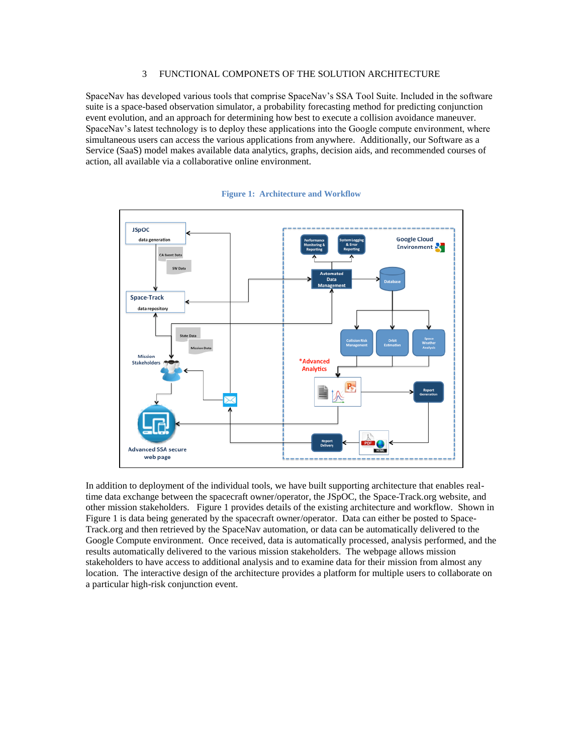## 3 FUNCTIONAL COMPONETS OF THE SOLUTION ARCHITECTURE

SpaceNav has developed various tools that comprise SpaceNav's SSA Tool Suite. Included in the software suite is a space-based observation simulator, a probability forecasting method for predicting conjunction event evolution, and an approach for determining how best to execute a collision avoidance maneuver. SpaceNav's latest technology is to deploy these applications into the Google compute environment, where simultaneous users can access the various applications from anywhere. Additionally, our Software as a Service (SaaS) model makes available data analytics, graphs, decision aids, and recommended courses of action, all available via a collaborative online environment.

<span id="page-3-0"></span>

#### **Figure 1: Architecture and Workflow**

In addition to deployment of the individual tools, we have built supporting architecture that enables realtime data exchange between the spacecraft owner/operator, the JSpOC, the Space-Track.org website, and other mission stakeholders. [Figure 1](#page-3-0) provides details of the existing architecture and workflow. Shown in Figure 1 is data being generated by the spacecraft owner/operator. Data can either be posted to Space-Track.org and then retrieved by the SpaceNav automation, or data can be automatically delivered to the Google Compute environment. Once received, data is automatically processed, analysis performed, and the results automatically delivered to the various mission stakeholders. The webpage allows mission stakeholders to have access to additional analysis and to examine data for their mission from almost any location. The interactive design of the architecture provides a platform for multiple users to collaborate on a particular high-risk conjunction event.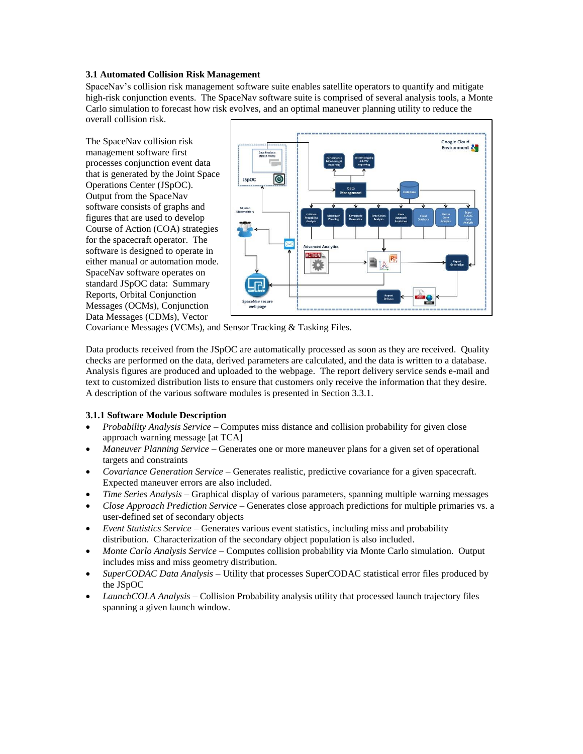# **3.1 Automated Collision Risk Management**

SpaceNav's collision risk management software suite enables satellite operators to quantify and mitigate high-risk conjunction events. The SpaceNav software suite is comprised of several analysis tools, a Monte Carlo simulation to forecast how risk evolves, and an optimal maneuver planning utility to reduce the overall collision risk.

The SpaceNav collision risk management software first processes conjunction event data that is generated by the Joint Space Operations Center (JSpOC). Output from the SpaceNav software consists of graphs and figures that are used to develop Course of Action (COA) strategies for the spacecraft operator. The software is designed to operate in either manual or automation mode. SpaceNav software operates on standard JSpOC data: Summary Reports, Orbital Conjunction Messages (OCMs), Conjunction Data Messages (CDMs), Vector



Covariance Messages (VCMs), and Sensor Tracking & Tasking Files.

Data products received from the JSpOC are automatically processed as soon as they are received. Quality checks are performed on the data, derived parameters are calculated, and the data is written to a database. Analysis figures are produced and uploaded to the webpage. The report delivery service sends e-mail and text to customized distribution lists to ensure that customers only receive the information that they desire. A description of the various software modules is presented in Section 3.3.1.

# **3.1.1 Software Module Description**

- *Probability Analysis Service*  Computes miss distance and collision probability for given close approach warning message [at TCA]
- *Maneuver Planning Service*  Generates one or more maneuver plans for a given set of operational targets and constraints
- *Covariance Generation Service*  Generates realistic, predictive covariance for a given spacecraft. Expected maneuver errors are also included.
- *Time Series Analysis* Graphical display of various parameters, spanning multiple warning messages
- *Close Approach Prediction Service* Generates close approach predictions for multiple primaries vs. a user-defined set of secondary objects
- *Event Statistics Service*  Generates various event statistics, including miss and probability distribution. Characterization of the secondary object population is also included.
- *Monte Carlo Analysis Service* Computes collision probability via Monte Carlo simulation. Output includes miss and miss geometry distribution.
- *SuperCODAC Data Analysis* Utility that processes SuperCODAC statistical error files produced by the JSpOC
- *LaunchCOLA Analysis* Collision Probability analysis utility that processed launch trajectory files spanning a given launch window.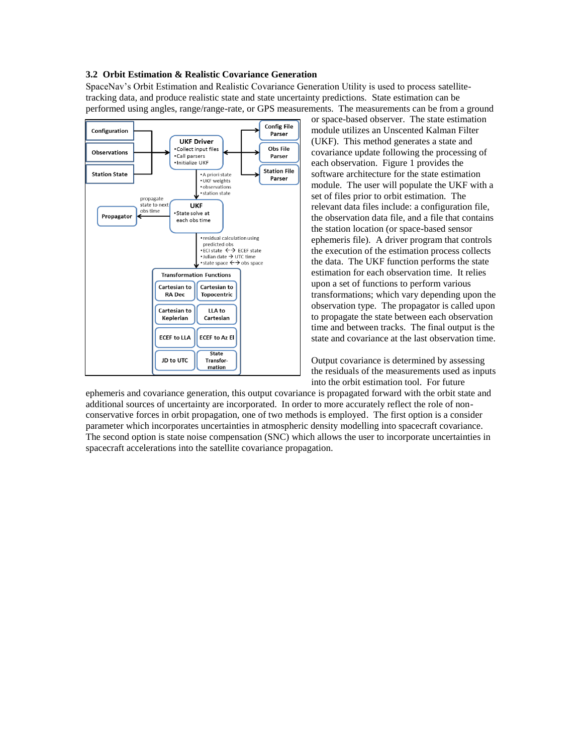#### **3.2 Orbit Estimation & Realistic Covariance Generation**

SpaceNav's Orbit Estimation and Realistic Covariance Generation Utility is used to process satellitetracking data, and produce realistic state and state uncertainty predictions. State estimation can be performed using angles, range/range-rate, or GPS measurements. The measurements can be from a ground



or space-based observer. The state estimation module utilizes an Unscented Kalman Filter (UKF). This method generates a state and covariance update following the processing of each observation. Figure 1 provides the software architecture for the state estimation module. The user will populate the UKF with a set of files prior to orbit estimation. The relevant data files include: a configuration file, the observation data file, and a file that contains the station location (or space-based sensor ephemeris file). A driver program that controls the execution of the estimation process collects the data. The UKF function performs the state estimation for each observation time. It relies upon a set of functions to perform various transformations; which vary depending upon the observation type. The propagator is called upon to propagate the state between each observation time and between tracks. The final output is the state and covariance at the last observation time.

Output covariance is determined by assessing the residuals of the measurements used as inputs into the orbit estimation tool. For future

ephemeris and covariance generation, this output covariance is propagated forward with the orbit state and additional sources of uncertainty are incorporated. In order to more accurately reflect the role of nonconservative forces in orbit propagation, one of two methods is employed. The first option is a consider parameter which incorporates uncertainties in atmospheric density modelling into spacecraft covariance. The second option is state noise compensation (SNC) which allows the user to incorporate uncertainties in spacecraft accelerations into the satellite covariance propagation.